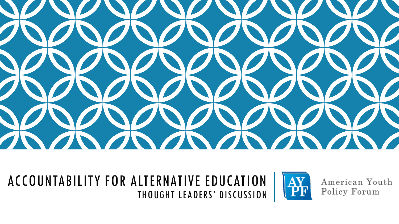

#### ACCOUNTABILITY FOR ALTERNATIVE EDUCATION THOUGHT LEADERS' DISCUSSION



American Youth Policy Forum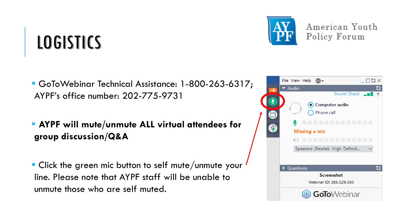## LOGISTICS

- GoToWebinar Technical Assistance: 1-800-263-6317; AYPF's office number: 202-775-9731
- **AYPF will mute/unmute ALL virtual attendees for group discussion/Q&A**
- **Click the green mic button to self mute/unmute your** line. Please note that AYPF staff will be unable to unmute those who are self muted.





American Youth Policy Forum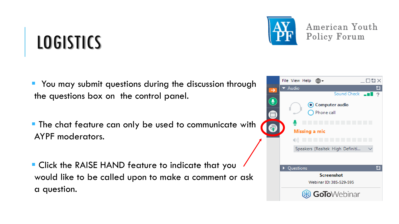## LOGISTICS

- You may submit questions during the discussion through the questions box on the control panel.
- **The chat feature can only be used to communicate with** AYPF moderators.
- **Click the RAISE HAND feature to indicate that you** would like to be called upon to make a comment or ask a question.





American Youth Policy Forum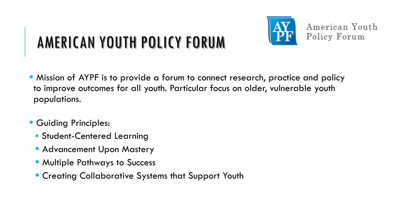

## AMERICAN YOUTH POLICY FORUM

- Mission of AYPF is to provide a forum to connect research, practice and policy to improve outcomes for all youth. Particular focus on older, vulnerable youth populations.
- **Guiding Principles:** 
	- **Student-Centered Learning**
	- **Advancement Upon Mastery**
	- **E** Multiple Pathways to Success
	- **Example 2 Creating Collaborative Systems that Support Youth**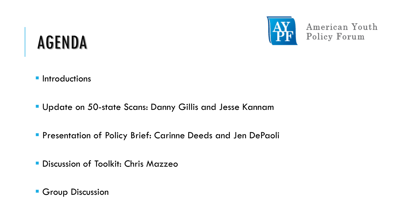

## AGENDA

- **Introductions**
- **Update on 50-state Scans: Danny Gillis and Jesse Kannam**
- **Presentation of Policy Brief: Carinne Deeds and Jen DePaoli**
- **Discussion of Toolkit: Chris Mazzeo**
- **Group Discussion**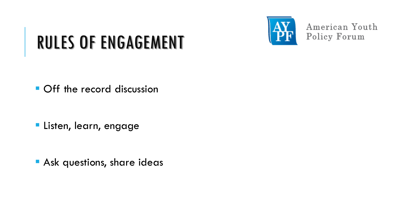

## RULES OF ENGAGEMENT

Off the record discussion

**Listen, learn, engage** 

**Ask questions, share ideas**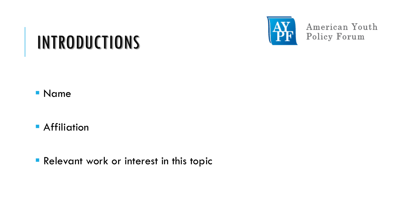## INTRODUCTIONS

Name

**Affiliation** 

**Relevant work or interest in this topic**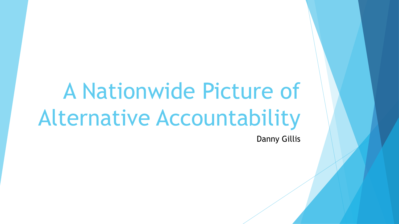# A Nationwide Picture of Alternative Accountability

Danny Gillis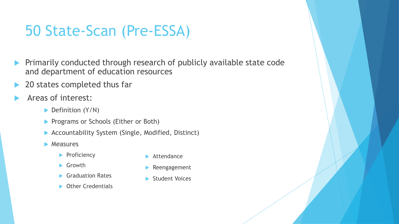#### 50 State-Scan (Pre-ESSA)

- **Primarily conducted through research of publicly available state code** and department of education resources
- 20 states completed thus far
- Areas of interest:
	- $\blacktriangleright$  Definition (Y/N)
	- **Programs or Schools (Either or Both)**
	- ▶ Accountability System (Single, Modified, Distinct)
	- $\blacktriangleright$  Measures
		- $\blacktriangleright$  Proficiency
		- Growth
		- Graduation Rates
		- **C**ther Credentials
- **Attendance**
- **Reengagement**
- Student Voices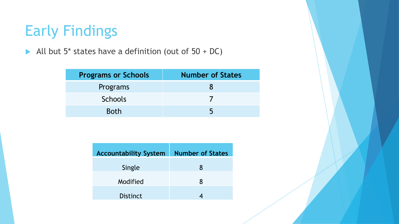#### Early Findings

All but  $5*$  states have a definition (out of  $50 + DC$ )

| <b>Programs or Schools</b> | <b>Number of States</b> |
|----------------------------|-------------------------|
| Programs                   |                         |
| <b>Schools</b>             |                         |
| <b>Both</b>                | ৸                       |

| <b>Accountability System</b> | <b>Number of States</b> |
|------------------------------|-------------------------|
| Single                       | 8                       |
| Modified                     | 8                       |
| <b>Distinct</b>              |                         |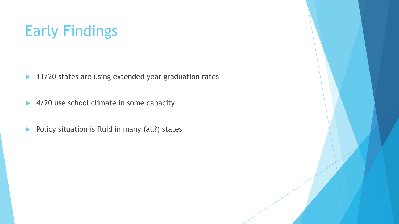### Early Findings

- ▶ 11/20 states are using extended year graduation rates
- ▶ 4/20 use school climate in some capacity
- Policy situation is fluid in many (all?) states

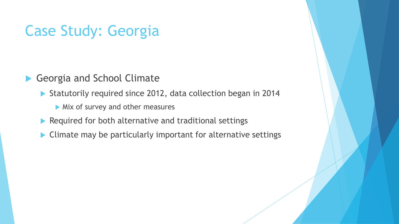#### Case Study: Georgia

Georgia and School Climate

- Statutorily required since 2012, data collection began in 2014
	- Mix of survey and other measures
- $\blacktriangleright$  Required for both alternative and traditional settings
- ▶ Climate may be particularly important for alternative settings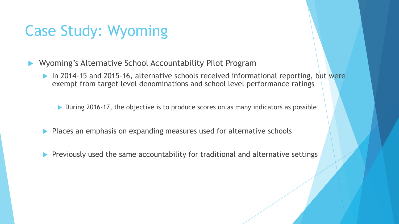#### Case Study: Wyoming

- Wyoming's Alternative School Accountability Pilot Program
	- In 2014-15 and 2015-16, alternative schools received informational reporting, but were exempt from target level denominations and school level performance ratings

▶ During 2016-17, the objective is to produce scores on as many indicators as possible

- Places an emphasis on expanding measures used for alternative schools
- Previously used the same accountability for traditional and alternative settings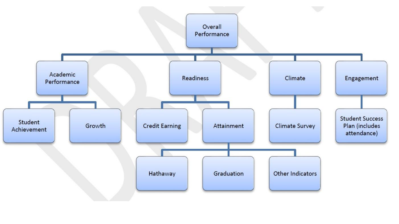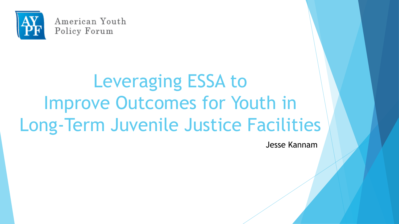

# Leveraging ESSA to Improve Outcomes for Youth in Long-Term Juvenile Justice Facilities

Jesse Kannam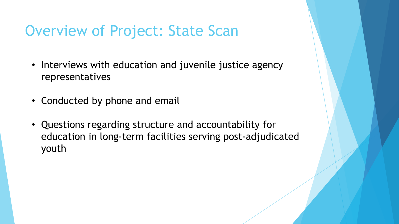#### Overview of Project: State Scan

- Interviews with education and juvenile justice agency representatives
- Conducted by phone and email
- Questions regarding structure and accountability for education in long-term facilities serving post-adjudicated youth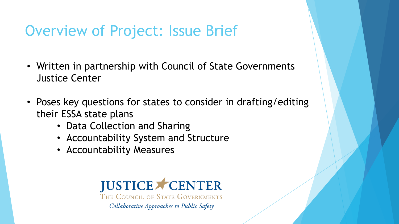#### Overview of Project: Issue Brief

- Written in partnership with Council of State Governments Justice Center
- Poses key questions for states to consider in drafting/editing their ESSA state plans
	- Data Collection and Sharing
	- Accountability System and Structure
	- Accountability Measures

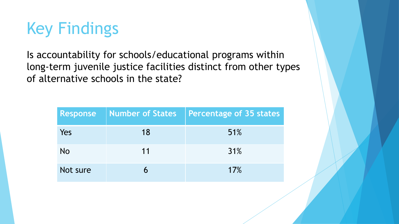

Is accountability for schools/educational programs within long-term juvenile justice facilities distinct from other types of alternative schools in the state?

| <b>Response</b> | Number of States | <b>Percentage of 35 states</b> |
|-----------------|------------------|--------------------------------|
| Yes             | 18               | 51%                            |
| No              | 11               | 31%                            |
| Not sure        |                  | 17%                            |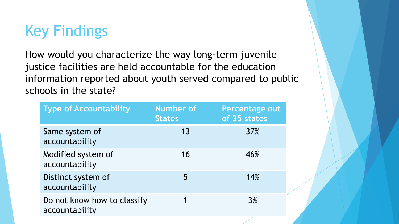### Key Findings

How would you characterize the way long-term juvenile justice facilities are held accountable for the education information reported about youth served compared to public schools in the state?

| <b>Type of Accountability</b>                 | Number of<br><b>States</b> | Percentage out<br>of 35 states |
|-----------------------------------------------|----------------------------|--------------------------------|
| Same system of<br>accountability              | 13                         | <b>37%</b>                     |
| Modified system of<br>accountability          | 16                         | 46%                            |
| Distinct system of<br>accountability          | 5                          | 14%                            |
| Do not know how to classify<br>accountability |                            | 3%                             |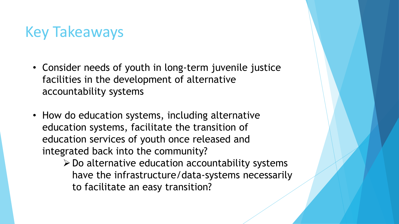#### Key Takeaways

- Consider needs of youth in long-term juvenile justice facilities in the development of alternative accountability systems
- How do education systems, including alternative education systems, facilitate the transition of education services of youth once released and integrated back into the community?
	- $\triangleright$  Do alternative education accountability systems have the infrastructure/data-systems necessarily to facilitate an easy transition?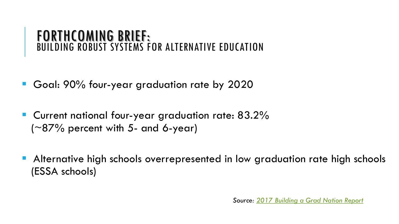#### FORTHCOMING BRIEF: BUILDING ROBUST SYSTEMS FOR ALTERNATIVE EDUCATION

- Goal: 90% four-year graduation rate by 2020
- **C**urrent national four-year graduation rate: 83.2%  $(-87%$  percent with 5- and 6-year)
- **Alternative high schools overrepresented in low graduation rate high schools** (ESSA schools)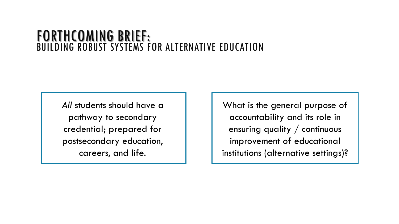#### FORTHCOMING BRIEF: BUILDING ROBUST SYSTEMS FOR ALTERNATIVE EDUCATION

*All* students should have a pathway to secondary credential; prepared for postsecondary education, careers, and life.

What is the general purpose of accountability and its role in ensuring quality / continuous improvement of educational institutions (alternative settings)?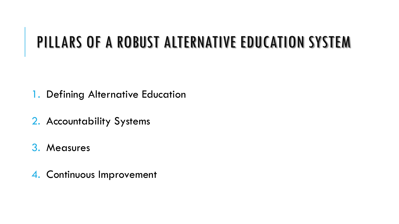- 1. Defining Alternative Education
- 2. Accountability Systems
- 3. Measures
- 4. Continuous Improvement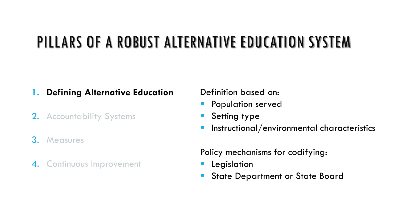#### **1. Defining Alternative Education**

- 2. Accountability Systems
- 3. Measures
- 4. Continuous Improvement

Definition based on:

- **Population served**
- Setting type
- Instructional/environmental characteristics

Policy mechanisms for codifying:

- Legislation
- State Department or State Board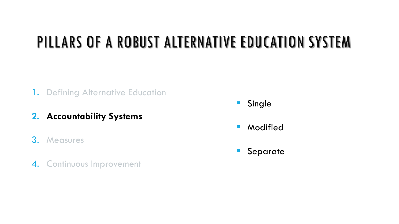- 1. Defining Alternative Education
- **2. Accountability Systems**
- 3. Measures
- 4. Continuous Improvement
- **Single**
- **Modified**
- **Separate**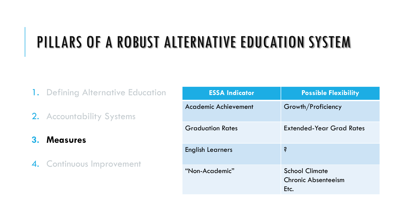- 1. Defining Alternative Education
- 2. Accountability Systems
- **3. Measures**
- 4. Continuous Improvement

| <b>ESSA Indicator</b>   | <b>Possible Flexibility</b>                                 |
|-------------------------|-------------------------------------------------------------|
| Academic Achievement    | Growth/Proficiency                                          |
| <b>Graduation Rates</b> | <b>Extended-Year Grad Rates</b>                             |
| <b>English Learners</b> | Ŝ.                                                          |
| "Non-Academic"          | <b>School Climate</b><br><b>Chronic Absenteeism</b><br>Etc. |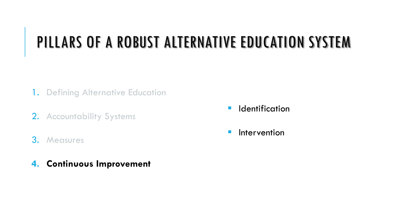- 1. Defining Alternative Education
- 2. Accountability Systems
- 3. Measures
- **4. Continuous Improvement**
- **I** Identification
- **I**ntervention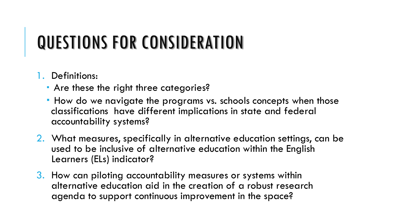## QUESTIONS FOR CONSIDERATION

#### 1. Definitions:

- **Are these the right three categories?**
- How do we navigate the programs vs. schools concepts when those classifications have different implications in state and federal accountability systems?
- 2. What measures, specifically in alternative education settings, can be used to be inclusive of alternative education within the English Learners (ELs) indicator?
- 3. How can piloting accountability measures or systems within alternative education aid in the creation of a robust research agenda to support continuous improvement in the space?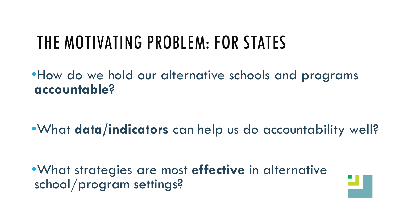## THE MOTIVATING PROBLEM: FOR STATES

•How do we hold our alternative schools and programs **accountable**?

•What **data/indicators** can help us do accountability well?

•What strategies are most **effective** in alternative school/program settings?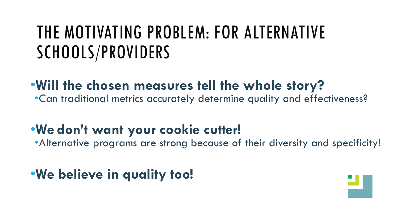## THE MOTIVATING PROBLEM: FOR ALTERNATIVE SCHOOLS/PROVIDERS

#### •**Will the chosen measures tell the whole story?**

•Can traditional metrics accurately determine quality and effectiveness?

#### •**We don't want your cookie cutter!**

•Alternative programs are strong because of their diversity and specificity!

#### •**We believe in quality too!**

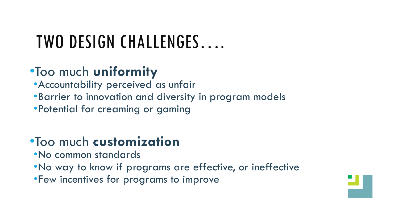## TWO DESIGN CHALLENGES….

#### •Too much **uniformity**

•Accountability perceived as unfair

•Barrier to innovation and diversity in program models

•Potential for creaming or gaming

#### •Too much **customization**

•No common standards

•No way to know if programs are effective, or ineffective

•Few incentives for programs to improve

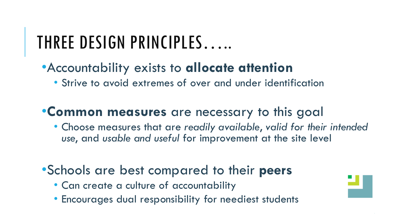## THREE DESIGN PRINCIPLES…..

#### •Accountability exists to **allocate attention**

• Strive to avoid extremes of over and under identification

#### •**Common measures** are necessary to this goal

• Choose measures that are *readily available*, *valid for their intended use*, and *usable and useful* for improvement at the site level

#### •Schools are best compared to their **peers**

- Can create a culture of accountability
- Encourages dual responsibility for neediest students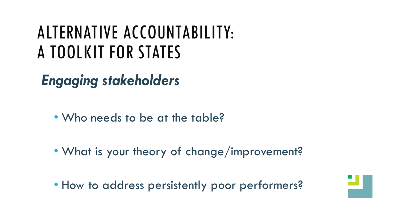## ALTERNATIVE ACCOUNTABILITY: A TOOLKIT FOR STATES

*Engaging stakeholders*

- Who needs to be at the table?
- What is your theory of change/improvement?
- How to address persistently poor performers?

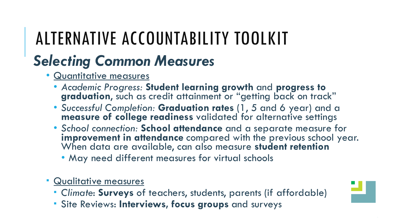## ALTERNATIVE ACCOUNTABILITY TOOLKIT

## *Selecting Common Measures*

- Quantitative measures
	- *Academic Progress:* **Student learning growth** and **progress to graduation**, such as credit attainment or "getting back on track"
	- *Successful Completion:* **Graduation rates** (1, 5 and 6 year) and a **measure of college readiness** validated for alternative settings
	- *School connection:* **School attendance** and a separate measure for **improvement in attendance** compared with the previous school year. When data are available, can also measure **student retention**
		- May need different measures for virtual schools
- Qualitative measures
	- *Climate*: **Surveys** of teachers, students, parents (if affordable)
	- Site Reviews: **Interviews, focus groups** and surveys

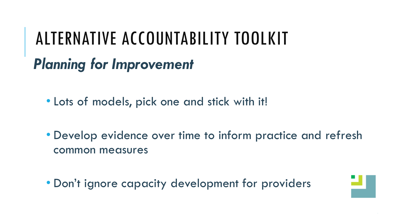## *Planning for Improvement* ALTERNATIVE ACCOUNTABILITY TOOLKIT

• Lots of models, pick one and stick with it!

• Develop evidence over time to inform practice and refresh common measures

• Don't ignore capacity development for providers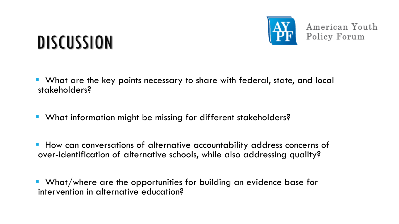## **DISCUSSION**

- What are the key points necessary to share with federal, state, and local stakeholders?
- **What information might be missing for different stakeholders?**
- **How can conversations of alternative accountability address concerns of** over-identification of alternative schools, while also addressing quality?

 What/where are the opportunities for building an evidence base for intervention in alternative education?